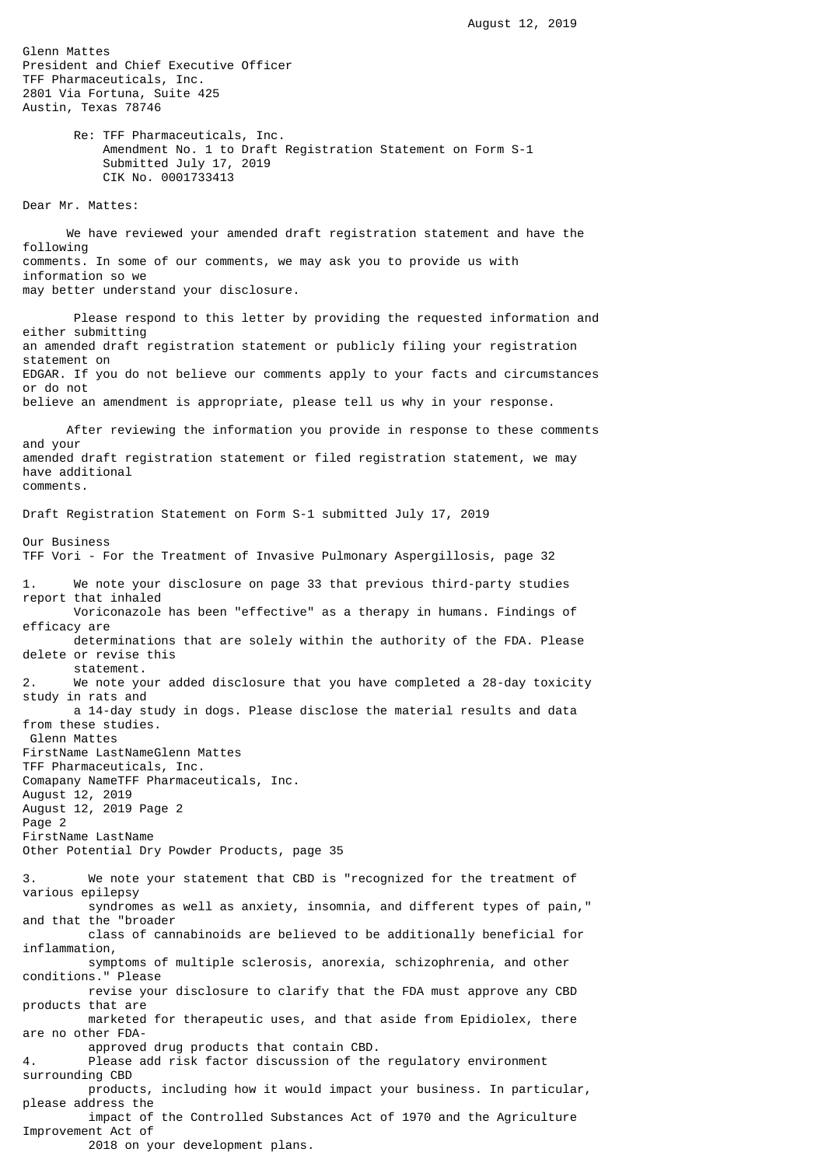Glenn Mattes President and Chief Executive Officer TFF Pharmaceuticals, Inc. 2801 Via Fortuna, Suite 425 Austin, Texas 78746 Re: TFF Pharmaceuticals, Inc. Amendment No. 1 to Draft Registration Statement on Form S-1 Submitted July 17, 2019 CIK No. 0001733413 Dear Mr. Mattes: We have reviewed your amended draft registration statement and have the following comments. In some of our comments, we may ask you to provide us with information so we may better understand your disclosure. Please respond to this letter by providing the requested information and either submitting an amended draft registration statement or publicly filing your registration statement on EDGAR. If you do not believe our comments apply to your facts and circumstances or do not believe an amendment is appropriate, please tell us why in your response. After reviewing the information you provide in response to these comments and your amended draft registration statement or filed registration statement, we may have additional comments. Draft Registration Statement on Form S-1 submitted July 17, 2019 Our Business TFF Vori - For the Treatment of Invasive Pulmonary Aspergillosis, page 32 1. We note your disclosure on page 33 that previous third-party studies report that inhaled Voriconazole has been "effective" as a therapy in humans. Findings of efficacy are determinations that are solely within the authority of the FDA. Please delete or revise this statement. 2. We note your added disclosure that you have completed a 28-day toxicity study in rats and a 14-day study in dogs. Please disclose the material results and data from these studies. Glenn Mattes FirstName LastNameGlenn Mattes TFF Pharmaceuticals, Inc. Comapany NameTFF Pharmaceuticals, Inc. August 12, 2019 August 12, 2019 Page 2 Page 2 FirstName LastName Other Potential Dry Powder Products, page 35 3. We note your statement that CBD is "recognized for the treatment of various epilepsy syndromes as well as anxiety, insomnia, and different types of pain," and that the "broader class of cannabinoids are believed to be additionally beneficial for inflammation, symptoms of multiple sclerosis, anorexia, schizophrenia, and other conditions." Please revise your disclosure to clarify that the FDA must approve any CBD products that are marketed for therapeutic uses, and that aside from Epidiolex, there are no other FDA approved drug products that contain CBD. 4. Please add risk factor discussion of the regulatory environment surrounding CBD products, including how it would impact your business. In particular, please address the impact of the Controlled Substances Act of 1970 and the Agriculture Improvement Act of 2018 on your development plans.